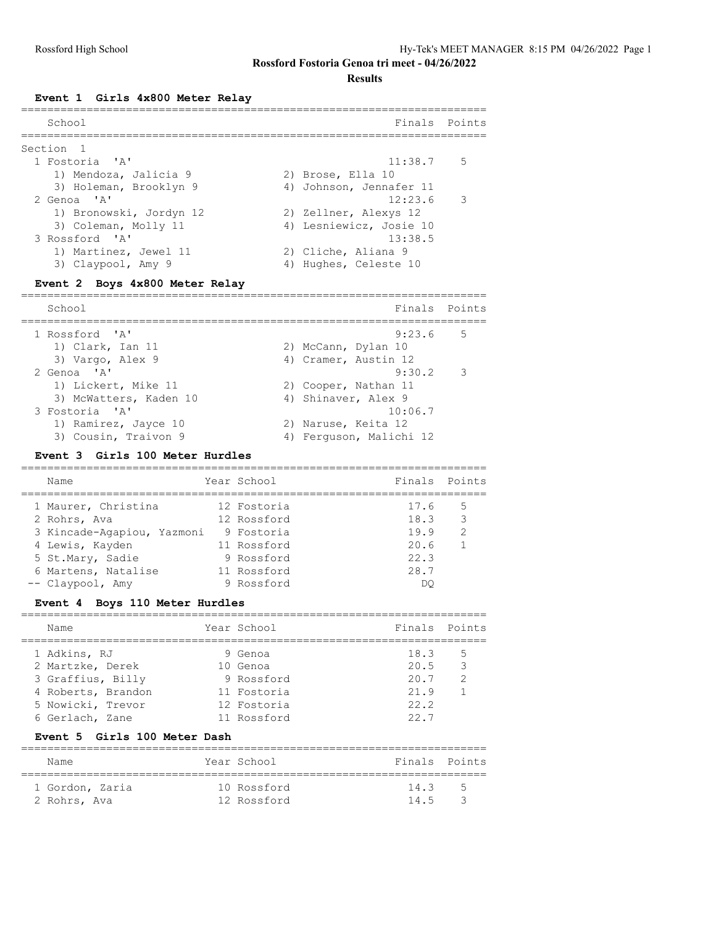**Results**

#### **Event 1 Girls 4x800 Meter Relay**

| School                  | Finals Points           |
|-------------------------|-------------------------|
| Section <sub>1</sub>    |                         |
| 1 Fostoria 'A'          | $11:38.7$ 5             |
| 1) Mendoza, Jalicia 9   | 2) Brose, Ella 10       |
| 3) Holeman, Brooklyn 9  | 4) Johnson, Jennafer 11 |
| 2 Genoa 'A'             | $12:23.6$ 3             |
| 1) Bronowski, Jordyn 12 | 2) Zellner, Alexys 12   |
| 3) Coleman, Molly 11    | 4) Lesniewicz, Josie 10 |
| 3 Rossford 'A'          | 13:38.5                 |
| 1) Martinez, Jewel 11   | 2) Cliche, Aliana 9     |
| 3) Claypool, Amy 9      | 4) Hughes, Celeste 10   |
|                         |                         |

# **Event 2 Boys 4x800 Meter Relay**

| School                 | Finals Points           |
|------------------------|-------------------------|
| 1 Rossford 'A'         | $9:23.6$ 5              |
| 1) Clark, Ian 11       | 2) McCann, Dylan 10     |
| 3) Vargo, Alex 9       | 4) Cramer, Austin 12    |
| 2 Genoa 'A'            | $9:30.2$ 3              |
| 1) Lickert, Mike 11    | 2) Cooper, Nathan 11    |
| 3) McWatters, Kaden 10 | 4) Shinaver, Alex 9     |
| 3 Fostoria 'A'         | 10:06.7                 |
| 1) Ramirez, Jayce 10   | 2) Naruse, Keita 12     |
| 3) Cousin, Traivon 9   | 4) Ferquson, Malichi 12 |
|                        |                         |

#### **Event 3 Girls 100 Meter Hurdles**

|  | Name                       | Year School | Finals Points |               |
|--|----------------------------|-------------|---------------|---------------|
|  | 1 Maurer, Christina        | 12 Fostoria | 17.6          | .5            |
|  | 2 Rohrs, Ava               | 12 Rossford | 18.3          | -3            |
|  | 3 Kincade-Agapiou, Yazmoni | 9 Fostoria  | 19.9          | $\mathcal{L}$ |
|  | 4 Lewis, Kayden            | 11 Rossford | 20.6          |               |
|  | 5 St.Mary, Sadie           | 9 Rossford  | 22.3          |               |
|  | 6 Martens, Natalise        | 11 Rossford | 28.7          |               |
|  | -- Claypool, Amy           | 9 Rossford  | DΟ            |               |
|  |                            |             |               |               |

#### **Event 4 Boys 110 Meter Hurdles**

| Name               | Year School | Finals Points |     |
|--------------------|-------------|---------------|-----|
| 1 Adkins, RJ       | 9 Genoa     | 18.3          | - 5 |
| 2 Martzke, Derek   | 10 Genoa    | 20.5          | 3   |
| 3 Graffius, Billy  | 9 Rossford  | 20.7          | 2   |
| 4 Roberts, Brandon | 11 Fostoria | 21.9          |     |
| 5 Nowicki, Trevor  | 12 Fostoria | 22.2          |     |
| 6 Gerlach, Zane    | 11 Rossford | 227           |     |

=======================================================================

#### **Event 5 Girls 100 Meter Dash**

| Name            |  | Year School | Finals Points |               |  |  |
|-----------------|--|-------------|---------------|---------------|--|--|
|                 |  |             |               |               |  |  |
| 1 Gordon, Zaria |  | 10 Rossford | 14.3          | - 5           |  |  |
| 2 Rohrs, Ava    |  | 12 Rossford | 14.5          | $\mathcal{R}$ |  |  |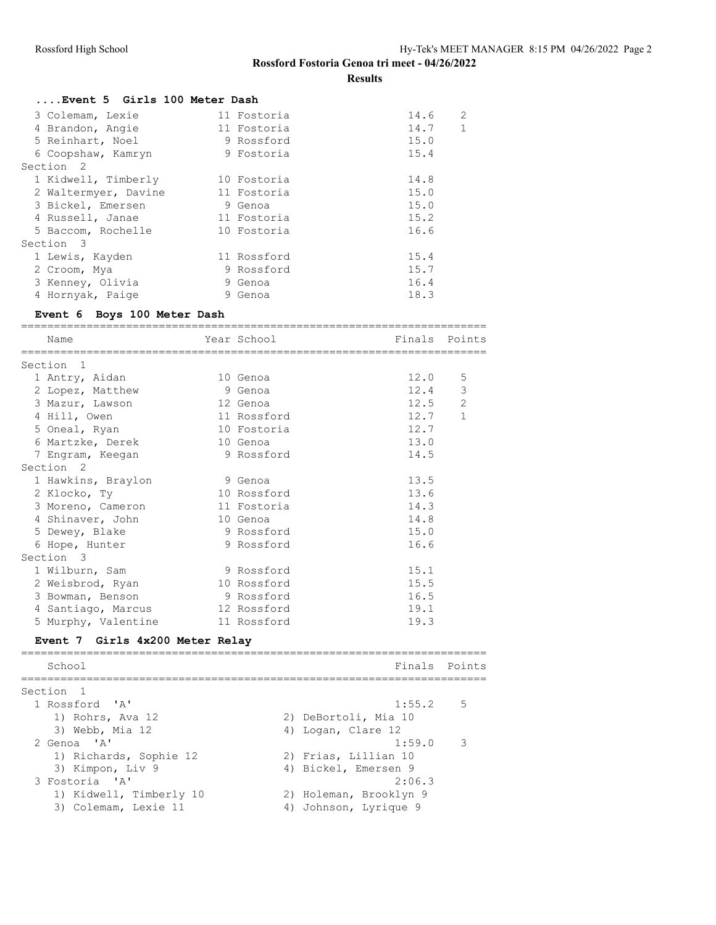**Results**

| Event 5 Girls 100 Meter Dash |             |                        |  |  |  |  |
|------------------------------|-------------|------------------------|--|--|--|--|
| 3 Colemam, Lexie             | 11 Fostoria | $\overline{2}$<br>14.6 |  |  |  |  |
| 4 Brandon, Angie             | 11 Fostoria | $\mathbf{1}$<br>14.7   |  |  |  |  |
| 5 Reinhart, Noel             | 9 Rossford  | 15.0                   |  |  |  |  |
| 6 Coopshaw, Kamryn           | 9 Fostoria  | 15.4                   |  |  |  |  |
| Section <sub>2</sub>         |             |                        |  |  |  |  |
| 1 Kidwell, Timberly          | 10 Fostoria | 14.8                   |  |  |  |  |
| 2 Waltermyer, Davine         | 11 Fostoria | 15.0                   |  |  |  |  |
| 3 Bickel, Emersen            | 9 Genoa     | 15.0                   |  |  |  |  |
| 4 Russell, Janae             | 11 Fostoria | 15.2                   |  |  |  |  |
| 5 Baccom, Rochelle           | 10 Fostoria | 16.6                   |  |  |  |  |
| Section 3                    |             |                        |  |  |  |  |
| 1 Lewis, Kayden              | 11 Rossford | 15.4                   |  |  |  |  |
| 2 Croom, Mya                 | 9 Rossford  | 15.7                   |  |  |  |  |
| 3 Kenney, Olivia             | 9 Genoa     | 16.4                   |  |  |  |  |
| 4 Hornyak, Paige             | 9 Genoa     | 18.3                   |  |  |  |  |
|                              |             |                        |  |  |  |  |

## **Event 6 Boys 100 Meter Dash**

| Name<br>___________________________________ | Year School<br>=============================== | Finals | Points       |
|---------------------------------------------|------------------------------------------------|--------|--------------|
| Section<br>$\overline{1}$                   |                                                |        |              |
| 1 Antry, Aidan                              | 10 Genoa                                       | 12.0   | 5            |
| 2 Lopez, Matthew                            | 9 Genoa                                        | 12.4   | $\mathsf 3$  |
| 3 Mazur, Lawson                             | 12 Genoa                                       | 12.5   | 2            |
| 4 Hill, Owen                                | 11 Rossford                                    | 12.7   | $\mathbf{1}$ |
| 5 Oneal, Ryan                               | 10 Fostoria                                    | 12.7   |              |
| 6 Martzke, Derek                            | 10 Genoa                                       | 13.0   |              |
| 7 Engram, Keegan                            | 9 Rossford                                     | 14.5   |              |
| Section <sub>2</sub>                        |                                                |        |              |
| 1 Hawkins, Braylon                          | 9 Genoa                                        | 13.5   |              |
| 2 Klocko, Ty                                | 10 Rossford                                    | 13.6   |              |
| 3 Moreno, Cameron                           | 11 Fostoria                                    | 14.3   |              |
| 4 Shinaver, John                            | 10 Genoa                                       | 14.8   |              |
| 5 Dewey, Blake                              | 9 Rossford                                     | 15.0   |              |
| 6 Hope, Hunter                              | 9 Rossford                                     | 16.6   |              |
| Section 3                                   |                                                |        |              |
| 1 Wilburn, Sam                              | 9 Rossford                                     | 15.1   |              |
| 2 Weisbrod, Ryan                            | 10 Rossford                                    | 15.5   |              |
| 3 Bowman, Benson                            | 9 Rossford                                     | 16.5   |              |
| 4 Santiago, Marcus                          | 12 Rossford                                    | 19.1   |              |
| 5 Murphy, Valentine                         | 11 Rossford                                    | 19.3   |              |
| Event 7 Girls 4x200 Meter Relay             |                                                |        |              |
| School                                      |                                                | Finals | Points       |

| .5<br>1:55.2            |
|-------------------------|
| 2) DeBortoli, Mia 10    |
| 4) Logan, Clare 12      |
| $\mathcal{R}$<br>1:59.0 |
| 2) Frias, Lillian 10    |
| 4) Bickel, Emersen 9    |
| 2:06.3                  |
| 2) Holeman, Brooklyn 9  |
| 4) Johnson, Lyrique 9   |
|                         |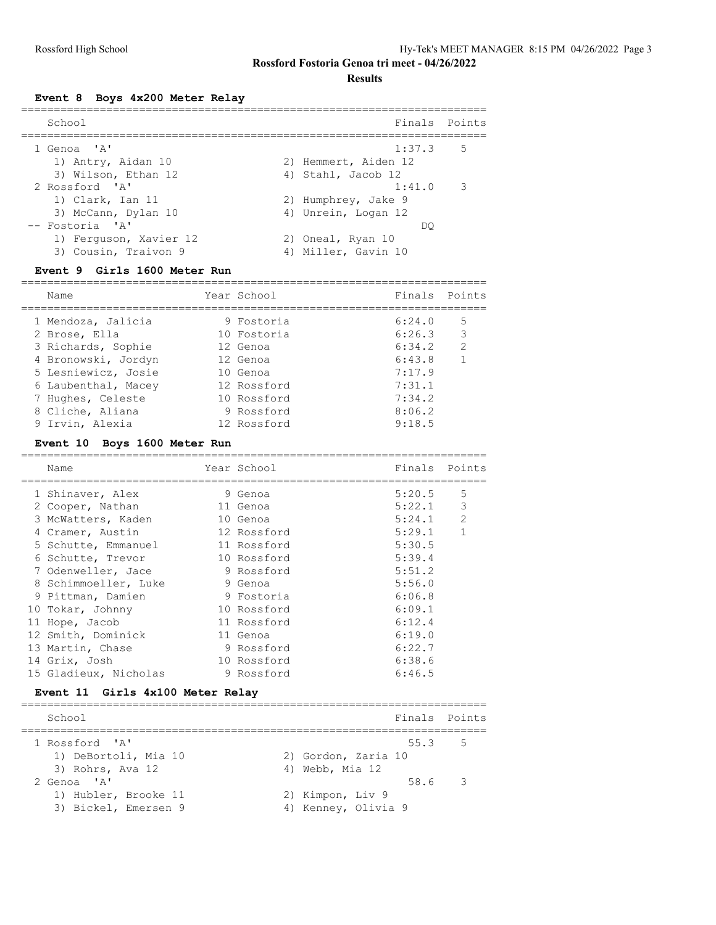**Results**

**Event 8 Boys 4x200 Meter Relay**

| School                                         | Finals Points                                  |
|------------------------------------------------|------------------------------------------------|
| 1 Genoa 'A'<br>1) Antry, Aidan 10              | $1:37.3$ 5<br>2) Hemmert, Aiden 12             |
| 3) Wilson, Ethan 12                            | 4) Stahl, Jacob 12                             |
| 2 Rossford 'A'<br>1) Clark, Ian 11             | $1:41.0$ 3<br>2) Humphrey, Jake 9              |
| 3) McCann, Dylan 10<br>-- Fostoria 'A'         | 4) Unrein, Logan 12                            |
| 1) Ferguson, Xavier 12<br>3) Cousin, Traivon 9 | DO<br>2) Oneal, Ryan 10<br>4) Miller, Gavin 10 |

#### **Event 9 Girls 1600 Meter Run**

| Name                | Year School | Finals Points |                |
|---------------------|-------------|---------------|----------------|
| 1 Mendoza, Jalicia  | 9 Fostoria  | 6:24.0        | .5             |
| 2 Brose, Ella       | 10 Fostoria | 6:26.3        | 3              |
| 3 Richards, Sophie  | 12 Genoa    | 6:34.2        | 2              |
| 4 Bronowski, Jordyn | 12 Genoa    | 6:43.8        | $\overline{1}$ |
| 5 Lesniewicz, Josie | 10 Genoa    | 7:17.9        |                |
| 6 Laubenthal, Macey | 12 Rossford | 7:31.1        |                |
| 7 Hughes, Celeste   | 10 Rossford | 7:34.2        |                |
| 8 Cliche, Aliana    | 9 Rossford  | 8:06.2        |                |
| 9 Irvin, Alexia     | 12 Rossford | 9:18.5        |                |

# **Event 10 Boys 1600 Meter Run**

| Name                  | Year School | Finals Points |              |
|-----------------------|-------------|---------------|--------------|
| 1 Shinaver, Alex      | 9 Genoa     | 5:20.5        | 5            |
| 2 Cooper, Nathan      | 11 Genoa    | 5:22.1        | 3            |
| 3 McWatters, Kaden    | 10 Genoa    | 5:24.1        | 2            |
| 4 Cramer, Austin      | 12 Rossford | 5:29.1        | $\mathbf{1}$ |
| 5 Schutte, Emmanuel   | 11 Rossford | 5:30.5        |              |
| 6 Schutte, Trevor     | 10 Rossford | 5:39.4        |              |
| 7 Odenweller, Jace    | 9 Rossford  | 5:51.2        |              |
| 8 Schimmoeller, Luke  | 9 Genoa     | 5:56.0        |              |
| 9 Pittman, Damien     | 9 Fostoria  | 6:06.8        |              |
| 10 Tokar, Johnny      | 10 Rossford | 6:09.1        |              |
| 11 Hope, Jacob        | 11 Rossford | 6:12.4        |              |
| 12 Smith, Dominick    | 11 Genoa    | 6:19.0        |              |
| 13 Martin, Chase      | 9 Rossford  | 6:22.7        |              |
| 14 Grix, Josh         | 10 Rossford | 6:38.6        |              |
| 15 Gladieux, Nicholas | 9 Rossford  | 6:46.5        |              |

#### **Event 11 Girls 4x100 Meter Relay**

| School               |                     | Finals Points |                         |
|----------------------|---------------------|---------------|-------------------------|
| 1 Rossford 'A'       |                     | 55.3 5        |                         |
| 1) DeBortoli, Mia 10 | 2) Gordon, Zaria 10 |               |                         |
| 3) Rohrs, Ava 12     | 4) Webb, Mia 12     |               |                         |
| 2 Genoa 'A'          |                     | 58.6          | $\overline{\mathbf{3}}$ |
| 1) Hubler, Brooke 11 | 2) Kimpon, Liv 9    |               |                         |
| 3) Bickel, Emersen 9 | 4) Kenney, Olivia 9 |               |                         |
|                      |                     |               |                         |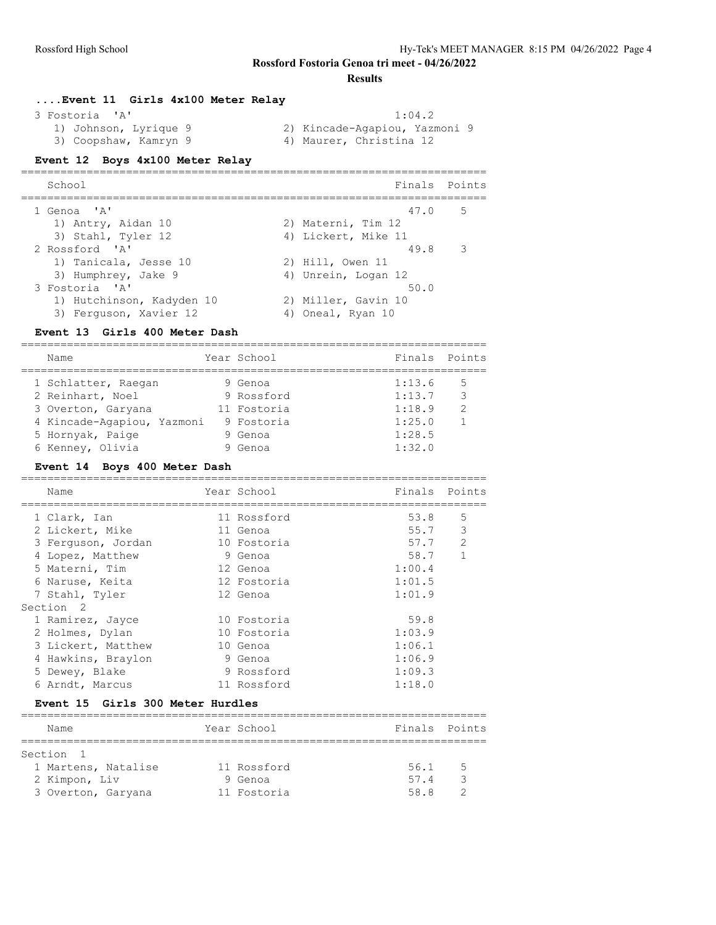#### **Results**

| Event 11 Girls 4x100 Meter Relay |                               |
|----------------------------------|-------------------------------|
| 3 Fostoria 'A'                   | 1:04.2                        |
| 1) Johnson, Lyrique 9            | 2) Kincade-Agapiou, Yazmoni 9 |
| 3) Coopshaw, Kamryn 9            | 4) Maurer, Christina 12       |

# **Event 12 Boys 4x100 Meter Relay**

| School                    | Finals Points       |             |
|---------------------------|---------------------|-------------|
| 1 Genoa 'A'               | 47.0                | $5^{\circ}$ |
| 1) Antry, Aidan 10        | 2) Materni, Tim 12  |             |
| 3) Stahl, Tyler 12        | 4) Lickert, Mike 11 |             |
| 2 Rossford 'A'            | 49.8                | -3          |
| 1) Tanicala, Jesse 10     | 2) Hill, Owen 11    |             |
| 3) Humphrey, Jake 9       | 4) Unrein, Logan 12 |             |
| 3 Fostoria 'A'            | 50.0                |             |
| 1) Hutchinson, Kadyden 10 | 2) Miller, Gavin 10 |             |
| 3) Ferguson, Xavier 12    | 4) Oneal, Ryan 10   |             |

#### **Event 13 Girls 400 Meter Dash**

=======================================================================

| Name                       | Year School | Finals Points |               |
|----------------------------|-------------|---------------|---------------|
| 1 Schlatter, Raegan        | 9 Genoa     | 1:13.6        | .5            |
| 2 Reinhart, Noel           | 9 Rossford  | 1:13.7        | 3             |
| 3 Overton, Garyana         | 11 Fostoria | 1:18.9        | $\mathcal{P}$ |
| 4 Kincade-Aqapiou, Yazmoni | 9 Fostoria  | 1:25.0        |               |
| 5 Hornyak, Paige           | 9 Genoa     | 1:28.5        |               |
| 6 Kenney, Olivia           | Genoa       | 1:32.0        |               |

#### **Event 14 Boys 400 Meter Dash**

| Name                 | Year School | Finals | Points        |
|----------------------|-------------|--------|---------------|
| 1 Clark, Ian         | 11 Rossford | 53.8   | 5             |
| 2 Lickert, Mike      | 11 Genoa    | 55.7   | 3             |
| 3 Ferguson, Jordan   | 10 Fostoria | 57.7   | $\mathcal{L}$ |
| 4 Lopez, Matthew     | 9 Genoa     | 58.7   | $\mathbf{1}$  |
| 5 Materni, Tim       | 12 Genoa    | 1:00.4 |               |
| 6 Naruse, Keita      | 12 Fostoria | 1:01.5 |               |
| 7 Stahl, Tyler       | 12 Genoa    | 1:01.9 |               |
| Section <sub>2</sub> |             |        |               |
| 1 Ramirez, Jayce     | 10 Fostoria | 59.8   |               |
| 2 Holmes, Dylan      | 10 Fostoria | 1:03.9 |               |
| 3 Lickert, Matthew   | 10 Genoa    | 1:06.1 |               |
| 4 Hawkins, Braylon   | 9 Genoa     | 1:06.9 |               |
| 5 Dewey, Blake       | 9 Rossford  | 1:09.3 |               |
| 6 Arndt, Marcus      | 11 Rossford | 1:18.0 |               |
|                      |             |        |               |

#### **Event 15 Girls 300 Meter Hurdles**

| Name                | Year School | Finals Points |     |
|---------------------|-------------|---------------|-----|
|                     |             |               |     |
| Section 1           |             |               |     |
| 1 Martens, Natalise | 11 Rossford | 56.1          | - 5 |
| 2 Kimpon, Liv       | 9 Genoa     | 57.4          |     |
| 3 Overton, Garyana  | 11 Fostoria | 58 R          |     |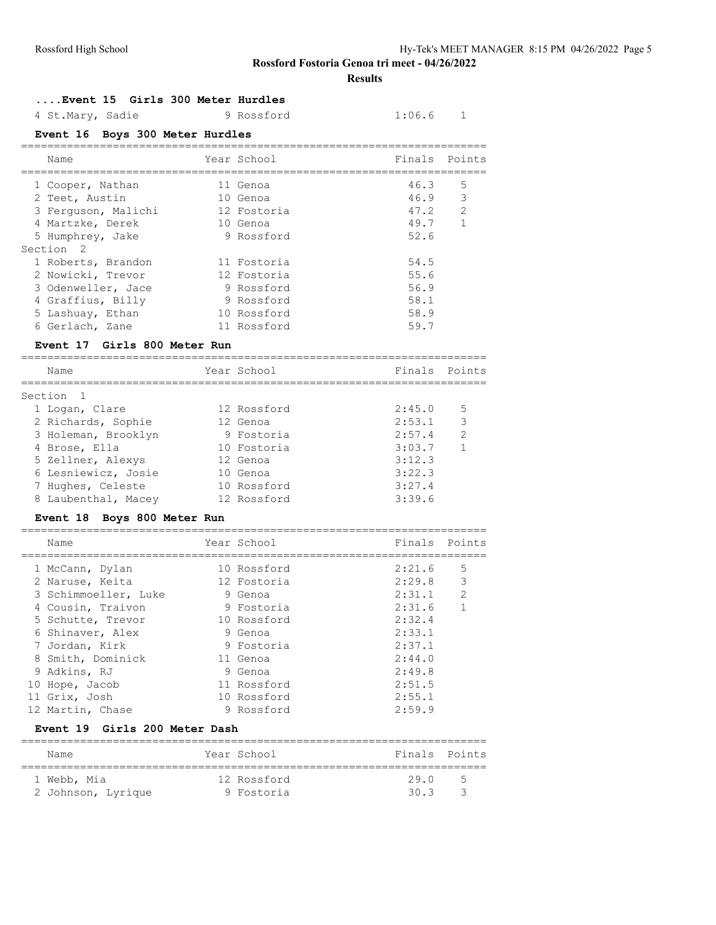**Results**

#### **....Event 15 Girls 300 Meter Hurdles**

| 4 St.Mary, Sadie | 9 Rossford | 1:06.6 |
|------------------|------------|--------|
|------------------|------------|--------|

#### **Event 16 Boys 300 Meter Hurdles**

| Name                                  | Year School                      | Finals Points |              |
|---------------------------------------|----------------------------------|---------------|--------------|
|                                       | ================================ |               |              |
| 1 Cooper, Nathan                      | 11 Genoa                         | 46.3          | 5            |
| 2 Teet, Austin                        | 10 Genoa                         | 46.9          | 3            |
| 3 Ferquson, Malichi                   | 12 Fostoria                      | 47.2          | 2            |
| 4 Martzke, Derek                      | 10 Genoa                         | 49.7          | 1            |
| 5 Humphrey, Jake                      | 9 Rossford                       | 52.6          |              |
| Section <sub>2</sub>                  |                                  |               |              |
| 1 Roberts, Brandon                    | 11 Fostoria                      | 54.5          |              |
| 2 Nowicki, Trevor                     | 12 Fostoria                      | 55.6          |              |
| 3 Odenweller, Jace                    | 9 Rossford                       | 56.9          |              |
| 4 Graffius, Billy                     | 9 Rossford                       | 58.1          |              |
| 5 Lashuay, Ethan                      | 10 Rossford                      | 58.9          |              |
| 6 Gerlach, Zane                       | 11 Rossford                      | 59.7          |              |
| Event 17 Girls 800 Meter Run          |                                  |               |              |
| Name                                  | Year School                      | Finals        | Points       |
| Section<br>1                          |                                  |               |              |
| 1 Logan, Clare                        | 12 Rossford                      | 2:45.0        | 5            |
| 2 Richards, Sophie                    | 12 Genoa                         | 2:53.1        | 3            |
| 3 Holeman, Brooklyn                   | 9 Fostoria                       | 2:57.4        | 2            |
| 4 Brose, Ella                         | 10 Fostoria                      | 3:03.7        | $\mathbf{1}$ |
| 5 Zellner, Alexys                     | 12 Genoa                         | 3:12.3        |              |
| 6 Lesniewicz, Josie                   | 10 Genoa                         | 3:22.3        |              |
| 7 Hughes, Celeste                     | 10 Rossford                      | 3:27.4        |              |
| 8 Laubenthal, Macey                   | 12 Rossford                      | 3:39.6        |              |
| Boys 800 Meter Run<br><b>Event 18</b> |                                  |               |              |
| Name                                  | Year School                      | Finals        | Points       |
|                                       |                                  |               |              |
| 1 McCann, Dylan                       | 10 Rossford                      | 2:21.6        | 5            |
| 2 Naruse, Keita                       | 12 Fostoria                      | 2:29.8        | 3            |
| 3 Schimmoeller, Luke                  | 9 Genoa                          | 2:31.1        | 2            |
| 4 Cousin, Traivon                     | 9 Fostoria                       | 2:31.6        | $\mathbf{1}$ |
|                                       |                                  |               |              |

 5 Schutte, Trevor 10 Rossford 2:32.4 6 Shinaver, Alex 9 Genoa 2:33.1 7 Jordan, Kirk 9 Fostoria 2:37.1 8 Smith, Dominick 11 Genoa 2:44.0 9 Adkins, RJ 9 Genoa 2:49.8 10 Hope, Jacob 11 Rossford 2:51.5 11 Grix, Josh 10 Rossford 2:55.1 12 Martin, Chase 9 Rossford 2:59.9

======================================================================= Name Year School Finals Points ======================================================================= 1 Webb, Mia 12 Rossford 29.0 5 2 Johnson, Lyrique 9 Fostoria 30.3 3

**Event 19 Girls 200 Meter Dash**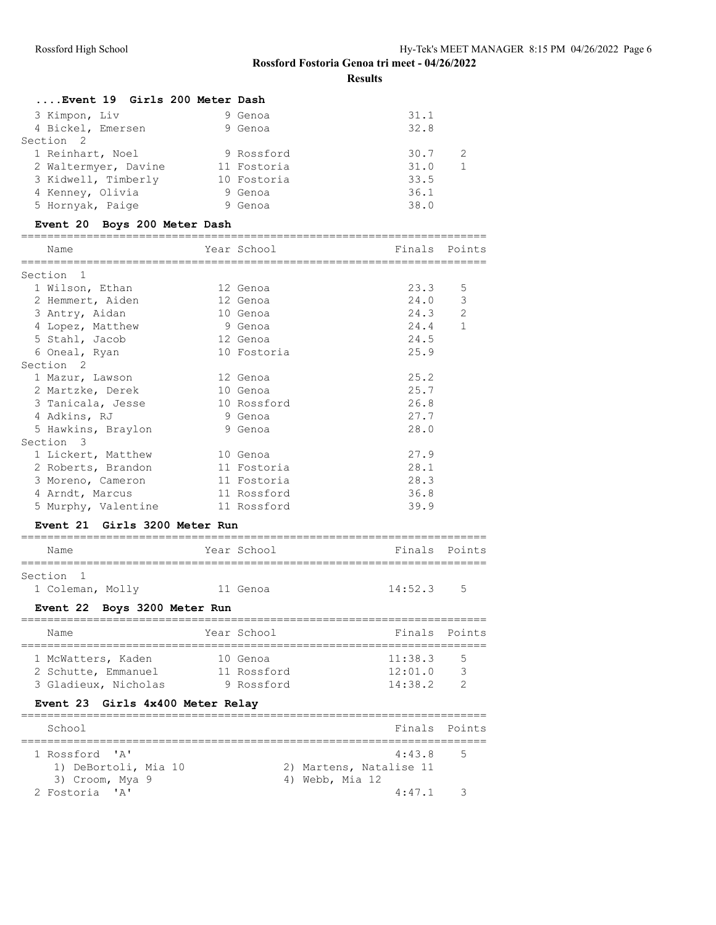**Results**

| Event 19 Girls 200 Meter Dash |  |             |      |  |
|-------------------------------|--|-------------|------|--|
| 3 Kimpon, Liv                 |  | 9 Genoa     | 31.1 |  |
| 4 Bickel, Emersen             |  | 9 Genoa     | 32.8 |  |
| Section 2                     |  |             |      |  |
| 1 Reinhart, Noel              |  | 9 Rossford  | 30.7 |  |
| 2 Waltermyer, Davine          |  | 11 Fostoria | 31.0 |  |
| 3 Kidwell, Timberly           |  | 10 Fostoria | 33.5 |  |
| 4 Kenney, Olivia              |  | 9 Genoa     | 36.1 |  |
| 5 Hornyak, Paige              |  | 9 Genoa     | 38.0 |  |
|                               |  |             |      |  |

# **Event 20 Boys 200 Meter Dash**

| Name<br>==============           | . _____________ | Year School | Finals<br>________________________________ | Points          |
|----------------------------------|-----------------|-------------|--------------------------------------------|-----------------|
| Section 1                        |                 |             |                                            |                 |
| 1 Wilson, Ethan                  |                 | 12 Genoa    | 23.3                                       | 5               |
| 2 Hemmert, Aiden                 |                 | 12 Genoa    | 24.0                                       | 3               |
| 3 Antry, Aidan                   |                 | 10 Genoa    | 24.3                                       | 2               |
| 4 Lopez, Matthew                 |                 | 9 Genoa     | 24.4                                       | 1               |
| 5 Stahl, Jacob                   |                 | 12 Genoa    | 24.5                                       |                 |
| 6 Oneal, Ryan                    |                 | 10 Fostoria | 25.9                                       |                 |
| Section <sub>2</sub>             |                 |             |                                            |                 |
| 1 Mazur, Lawson                  |                 | 12 Genoa    | 25.2                                       |                 |
|                                  |                 |             | 25.7                                       |                 |
| 2 Martzke, Derek                 |                 | 10 Genoa    |                                            |                 |
| 3 Tanicala, Jesse                |                 | 10 Rossford | 26.8                                       |                 |
| 4 Adkins, RJ                     |                 | 9 Genoa     | 27.7                                       |                 |
| 5 Hawkins, Braylon               |                 | 9 Genoa     | 28.0                                       |                 |
| Section 3                        |                 |             |                                            |                 |
| 1 Lickert, Matthew               |                 | 10 Genoa    | 27.9                                       |                 |
| 2 Roberts, Brandon               |                 | 11 Fostoria | 28.1                                       |                 |
| 3 Moreno, Cameron                |                 | 11 Fostoria | 28.3                                       |                 |
| 4 Arndt, Marcus                  |                 | 11 Rossford | 36.8                                       |                 |
| 5 Murphy, Valentine              |                 | 11 Rossford | 39.9                                       |                 |
| Event 21 Girls 3200 Meter Run    |                 |             |                                            |                 |
|                                  |                 |             |                                            |                 |
| Name                             |                 | Year School | Finals                                     | Points          |
|                                  |                 |             |                                            |                 |
| Section 1                        |                 |             |                                            |                 |
| 1 Coleman, Molly                 |                 | 11 Genoa    | 14:52.3                                    | .5              |
| Event 22 Boys 3200 Meter Run     |                 |             |                                            |                 |
| Name                             |                 | Year School |                                            | Finals Points   |
|                                  |                 |             |                                            | =======         |
| 1 McWatters, Kaden               |                 | 10 Genoa    | 11:38.3                                    | 5               |
| 2 Schutte, Emmanuel              |                 | 11 Rossford | 12:01.0                                    | 3               |
| 3 Gladieux, Nicholas             |                 | 9 Rossford  | 14:38.2                                    | 2               |
| Event 23 Girls 4x400 Meter Relay |                 |             |                                            |                 |
| School                           |                 |             | Finals                                     | Points          |
| 1 Rossford 'A'                   |                 |             | 4:43.8                                     | __________<br>5 |
| 1) DeBortoli, Mia 10             |                 |             | 2) Martens, Natalise 11                    |                 |
| 3) Croom, Mya 9                  |                 |             | 4) Webb, Mia 12                            |                 |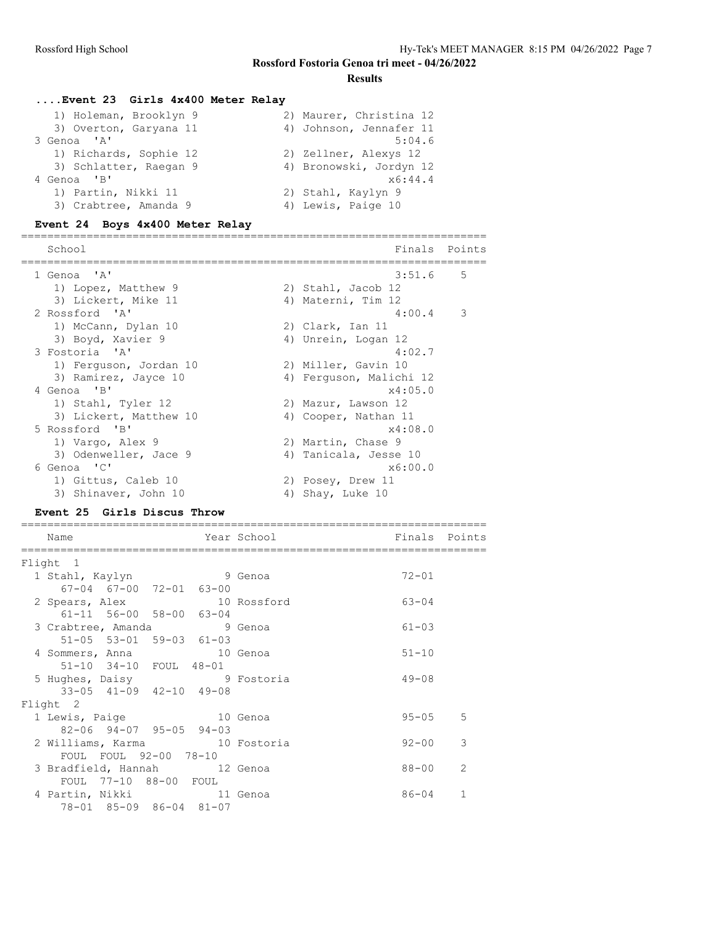#### **Results**

# **....Event 23 Girls 4x400 Meter Relay**

| 1) Holeman, Brooklyn 9 | 2) Maurer, Christina 12 |
|------------------------|-------------------------|
| 3) Overton, Garyana 11 | 4) Johnson, Jennafer 11 |
| 3 Genoa 'A'            | 5:04.6                  |
| 1) Richards, Sophie 12 | 2) Zellner, Alexys 12   |
| 3) Schlatter, Raegan 9 | 4) Bronowski, Jordyn 12 |
| 4 Genoa 'B'            | x6:44.4                 |
| 1) Partin, Nikki 11    | 2) Stahl, Kaylyn 9      |
| 3) Crabtree, Amanda 9  | 4) Lewis, Paige 10      |

#### **Event 24 Boys 4x400 Meter Relay**

| School                 | Finals                  | Points      |
|------------------------|-------------------------|-------------|
| 1 Genoa 'A'            | 3:51.6                  | $5^{\circ}$ |
| 1) Lopez, Matthew 9    | 2) Stahl, Jacob 12      |             |
| 3) Lickert, Mike 11    | 4) Materni, Tim 12      |             |
| 2 Rossford 'A'         | $4:00.4$ 3              |             |
| 1) McCann, Dylan 10    | 2) Clark, Ian 11        |             |
| 3) Boyd, Xavier 9      | 4) Unrein, Logan 12     |             |
| 3 Fostoria 'A'         | 4:02.7                  |             |
| 1) Ferquson, Jordan 10 | 2) Miller, Gavin 10     |             |
| 3) Ramirez, Jayce 10   | 4) Ferquson, Malichi 12 |             |
| 4 Genoa 'B'            | x4:05.0                 |             |
| 1) Stahl, Tyler 12     | 2) Mazur, Lawson 12     |             |
| 3) Lickert, Matthew 10 | 4) Cooper, Nathan 11    |             |
| 5 Rossford 'B'         | x4:08.0                 |             |
| 1) Vargo, Alex 9       | 2) Martin, Chase 9      |             |
| 3) Odenweller, Jace 9  | 4) Tanicala, Jesse 10   |             |
| 6 Genoa 'C'            | x6:00.0                 |             |
| 1) Gittus, Caleb 10    | 2) Posey, Drew 11       |             |
| 3) Shinaver, John 10   | 4) Shay, Luke 10        |             |
|                        |                         |             |

#### **Event 25 Girls Discus Throw**

| Name                                    |              | Year School | Finals Points |               |
|-----------------------------------------|--------------|-------------|---------------|---------------|
| Flight 1                                |              |             |               |               |
| 1 Stahl, Kaylyn 9 Genoa                 |              |             | $72 - 01$     |               |
| 67-04 67-00 72-01 63-00                 |              |             |               |               |
| 2 Spears, Alex 10 Rossford              |              |             | $63 - 04$     |               |
| $61 - 11$ 56-00 58-00 63-04             |              |             |               |               |
| 3 Crabtree, Amanda 9 Genoa              |              |             | $61 - 03$     |               |
| $51-05$ $53-01$ $59-03$ $61-03$         |              |             |               |               |
| 4 Sommers, Anna 10 Genoa                |              |             | $51 - 10$     |               |
| 51-10 34-10 FOUL 48-01                  |              |             |               |               |
| 5 Hughes, Daisy 9 Fostoria              |              |             | $49 - 08$     |               |
| $33-05$ $41-09$ $42-10$ $49-08$         |              |             |               |               |
| Flight 2                                |              |             |               |               |
| 1 Lewis, Paige                          | and 10 Genoa |             | $95 - 05$ 5   |               |
| $82 - 06$ $94 - 07$ $95 - 05$ $94 - 03$ |              |             |               |               |
| 2 Williams, Karma 10 Fostoria           |              |             | $92 - 00$     | 3             |
| FOUL FOUL 92-00 78-10                   |              |             |               |               |
| 3 Bradfield, Hannah 12 Genoa            |              |             | 88-00         | $\mathcal{L}$ |
| FOUL 77-10 88-00 FOUL                   |              |             |               |               |
| 4 Partin, Nikki 11 Genoa                |              |             | $86 - 04$     | $\mathbf{1}$  |
| 78-01 85-09 86-04 81-07                 |              |             |               |               |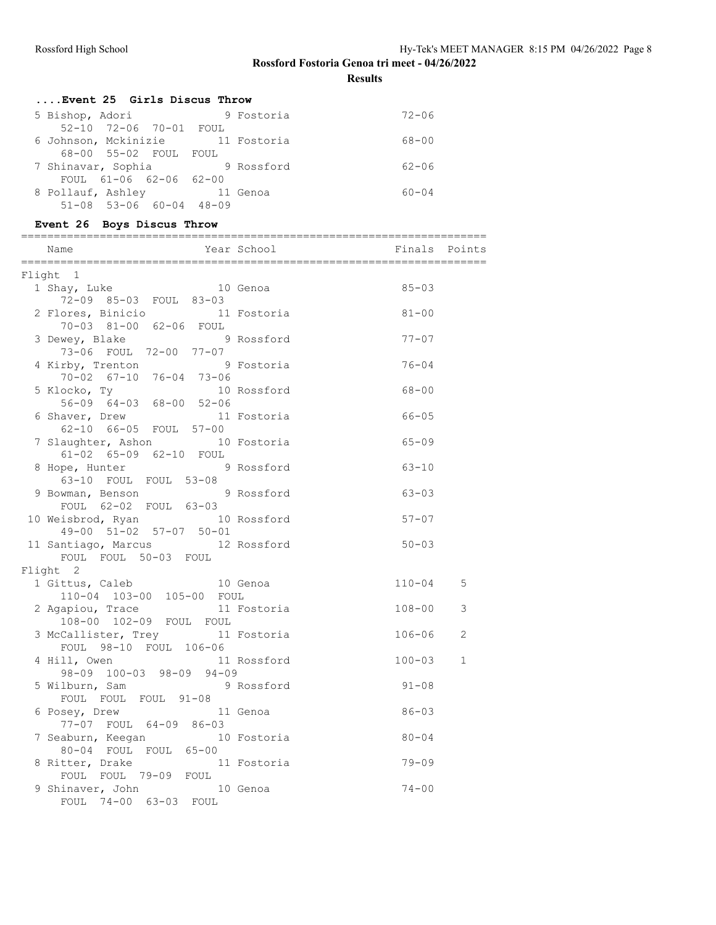**Results**

| Event 25 Girls Discus Throw             |              |           |
|-----------------------------------------|--------------|-----------|
| 5 Bishop, Adori                         | 9 Fostoria   | $72 - 06$ |
| 52-10 72-06 70-01 FOUL                  |              |           |
| 6 Johnson, Mckinizie 11 Fostoria        |              | 68-00     |
| 68-00 55-02 FOUL FOUL                   |              |           |
| 7 Shinavar, Sophia                      | 9 Rossford   | $62 - 06$ |
| FOUL 61-06 62-06 62-00                  |              |           |
| 8 Pollauf, Ashley                       | and 11 Genoa | $60 - 04$ |
| $51 - 08$ $53 - 06$ $60 - 04$ $48 - 09$ |              |           |

# **Event 26 Boys Discus Throw**

| Name                                                     | Year School Year | Finals Points |              |
|----------------------------------------------------------|------------------|---------------|--------------|
| Flight 1                                                 |                  |               |              |
| 1 Shay, Luke 10 Genoa<br>72-09 85-03 FOUL 83-03          |                  | $85 - 03$     |              |
| 2 Flores, Binicio 11 Fostoria<br>70-03 81-00 62-06 FOUL  |                  | $81 - 00$     |              |
| 3 Dewey, Blake<br>73-06 FOUL 72-00 77-07                 | 9 Rossford       | $77 - 07$     |              |
| 4 Kirby, Trenton<br>$70-02$ $67-10$ $76-04$ $73-06$      | 9 Fostoria       | $76 - 04$     |              |
| 5 Klocko, Ty<br>56-09 64-03 68-00 52-06                  | 10 Rossford      | $68 - 00$     |              |
| 6 Shaver, Drew<br>62-10 66-05 FOUL 57-00                 | 11 Fostoria      | $66 - 05$     |              |
| 7 Slaughter, Ashon 10 Fostoria<br>61-02 65-09 62-10 FOUL |                  | $65 - 09$     |              |
| 8 Hope, Hunter<br>63-10 FOUL FOUL 53-08                  | 9 Rossford       | $63 - 10$     |              |
| 9 Bowman, Benson 9 Rossford<br>FOUL 62-02 FOUL 63-03     |                  | $63 - 03$     |              |
| 10 Weisbrod, Ryan<br>49-00 51-02 57-07 50-01             | 10 Rossford      | $57 - 07$     |              |
| 11 Santiago, Marcus 12 Rossford<br>FOUL FOUL 50-03 FOUL  |                  | $50 - 03$     |              |
| Flight 2                                                 |                  |               |              |
| 1 Gittus, Caleb<br>110-04 103-00 105-00 FOUL             | 10 Genoa         | $110 - 04$    | 5            |
| 2 Agapiou, Trace<br>108-00 102-09 FOUL FOUL              | 11 Fostoria      | $108 - 00$    | 3            |
| 3 McCallister, Trey<br>FOUL 98-10 FOUL 106-06            | 11 Fostoria      | $106 - 06$    | 2            |
| 4 Hill, Owen<br>98-09 100-03 98-09 94-09                 | 11 Rossford      | $100 - 03$    | $\mathbf{1}$ |
| 5 Wilburn, Sam<br>FOUL FOUL FOUL 91-08                   | 9 Rossford       | $91 - 08$     |              |
| 6 Posey, Drew<br>77-07 FOUL 64-09 86-03                  | 11 Genoa         | $86 - 03$     |              |
| 7 Seaburn, Keegan 10 Fostoria<br>80-04 FOUL FOUL 65-00   |                  | $80 - 04$     |              |
| 8 Ritter, Drake<br>FOUL FOUL 79-09 FOUL                  | 11 Fostoria      | $79 - 09$     |              |
| 9 Shinaver, John<br>FOUL 74-00 63-03 FOUL                | 10 Genoa         | $74 - 00$     |              |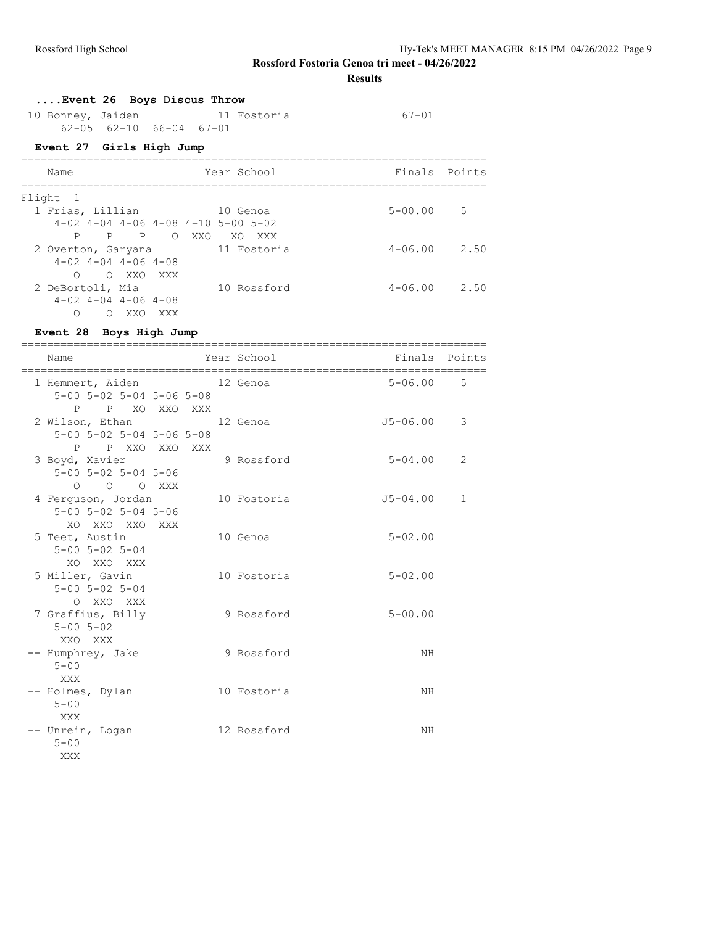**Results**

#### **....Event 26 Boys Discus Throw**

| 10 Bonney, Jaiden |                         |  | 11 Fostoria | 67-01 |
|-------------------|-------------------------|--|-------------|-------|
|                   | 62-05 62-10 66-04 67-01 |  |             |       |

# **Event 27 Girls High Jump**

| Name                                             | Year School       | Finals Points       |
|--------------------------------------------------|-------------------|---------------------|
| Flight 1                                         |                   |                     |
| 1 Frias, Lillian                                 | 10 Genoa          | $5 - 00.00$<br>.5   |
| $4-02$ $4-04$ $4-06$ $4-08$ $4-10$ $5-00$ $5-02$ |                   |                     |
| P<br>$P \qquad \qquad$<br>P<br>$\bigcirc$        | XXO<br>XO.<br>XXX |                     |
| 2 Overton, Garyana                               | 11 Fostoria       | $4 - 06.00$<br>2.50 |
| $4-02$ $4-04$ $4-06$ $4-08$                      |                   |                     |
| $\bigcirc$<br>XXO XXX<br>∩                       |                   |                     |
| 2 DeBortoli, Mia                                 | 10 Rossford       | $4 - 06.00$<br>2.50 |
| $4-02$ $4-04$ $4-06$ $4-08$                      |                   |                     |
| ∩<br>XXO<br>XXX<br>∩                             |                   |                     |

# **Event 28 Boys High Jump**

| Name                                                                        | Year School | Finals       | Points       |
|-----------------------------------------------------------------------------|-------------|--------------|--------------|
| 1 Hemmert, Aiden<br>5-00 5-02 5-04 5-06 5-08<br>P XO XXO XXX<br>P           | 12 Genoa    | $5 - 06.00$  | 5            |
| 2 Wilson, Ethan<br>5-00 5-02 5-04 5-06 5-08<br>P XXO XXO XXX<br>P           | 12 Genoa    | $J5 - 06.00$ | 3            |
| 3 Boyd, Xavier<br>$5 - 00$ $5 - 02$ $5 - 04$ $5 - 06$<br>$O$ $O$ $O$ $XXX$  | 9 Rossford  | $5 - 04.00$  | 2            |
| 4 Ferguson, Jordan<br>$5 - 00$ $5 - 02$ $5 - 04$ $5 - 06$<br>XO XXO XXO XXX | 10 Fostoria | $J5 - 04.00$ | $\mathbf{1}$ |
| 5 Teet, Austin<br>$5 - 00$ $5 - 02$ $5 - 04$<br>XO XXO XXX                  | 10 Genoa    | $5 - 02.00$  |              |
| 5 Miller, Gavin<br>$5 - 00$ $5 - 02$ $5 - 04$<br>O XXO XXX                  | 10 Fostoria | $5 - 02.00$  |              |
| 7 Graffius, Billy<br>$5 - 00$ $5 - 02$<br>XXO XXX                           | 9 Rossford  | $5 - 00.00$  |              |
| -- Humphrey, Jake<br>$5 - 00$<br>XXX                                        | 9 Rossford  | NH           |              |
| -- Holmes, Dylan<br>$5 - 00$<br>XXX                                         | 10 Fostoria | ΝH           |              |
| -- Unrein, Logan<br>$5 - 00$<br>XXX                                         | 12 Rossford | NH           |              |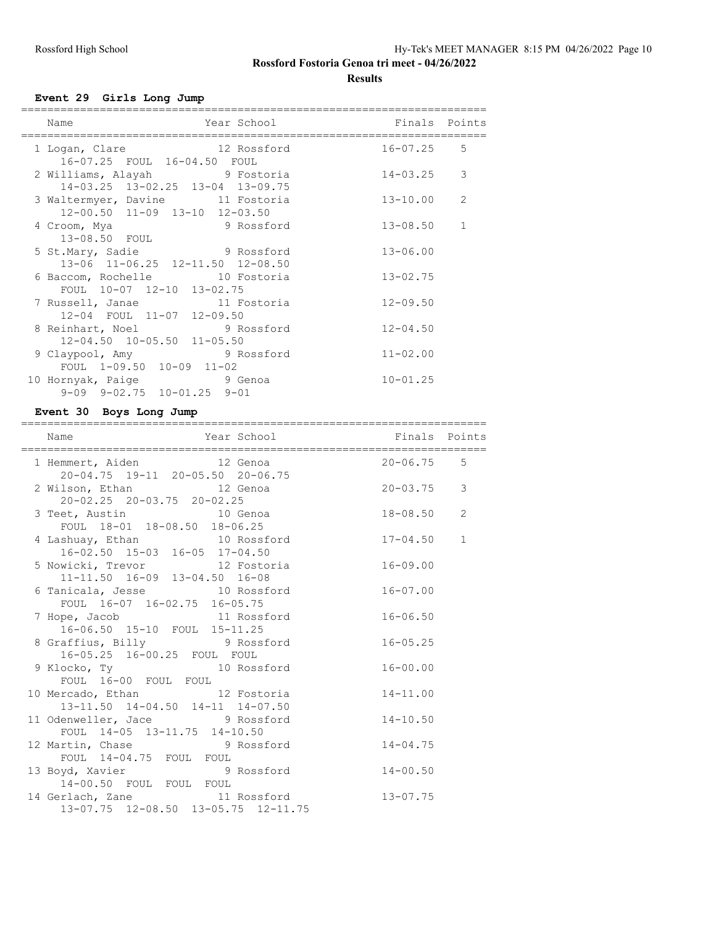# **Results**

# **Event 29 Girls Long Jump**

| Year School<br>Name                                                                           | Finals Points |                |
|-----------------------------------------------------------------------------------------------|---------------|----------------|
| 12 Rossford<br>1 Logan, Clare<br>16-07.25 FOUL 16-04.50 FOUL                                  | 16-07.25      | 5              |
| 2 Williams, Alayah 9 Fostoria<br>14-03.25 13-02.25 13-04 13-09.75                             | $14 - 03.25$  | 3              |
| 3 Waltermyer, Davine 11 Fostoria<br>12-00.50 11-09 13-10 12-03.50                             | 13-10.00      | $\overline{2}$ |
| 4 Croom, Mya 9 Rossford<br>13-08.50 FOUL                                                      | $13 - 08.50$  | $\mathbf{1}$   |
| 5 St.Mary, Sadie 9 Rossford                                                                   | $13 - 06.00$  |                |
| 13-06 11-06.25 12-11.50 12-08.50<br>6 Baccom, Rochelle 10 Fostoria                            | $13 - 02.75$  |                |
| FOUL 10-07 12-10 13-02.75<br>7 Russell, Janae 11 Fostoria                                     | $12 - 09.50$  |                |
| 12-04 FOUL 11-07 12-09.50<br>8 Reinhart, Noel 9 Rossford                                      | $12 - 04.50$  |                |
| 12-04.50 10-05.50 11-05.50<br>9 Claypool, Amy 9 Rossford                                      | $11 - 02.00$  |                |
| FOUL 1-09.50 10-09 11-02<br>10 Hornyak, Paige 3 9 Genoa<br>$9-09$ $9-02.75$ $10-01.25$ $9-01$ | $10 - 01.25$  |                |

#### **Event 30 Boys Long Jump**

| Year School <b>Finals</b> Points<br>Name                                          |              |
|-----------------------------------------------------------------------------------|--------------|
|                                                                                   |              |
| 1 Hemmert, Aiden<br>20-04.75 19-11 20-05.50 20-06.75<br>$20 - 06.75$ 5            |              |
| 2 Wilson, Ethan 12 Genoa 20-03.75 3<br>$20 - 02.25$ $20 - 03.75$ $20 - 02.25$     |              |
| 3 Teet, Austin 10 Genoa<br>FOUL 18-01 18-08.50 18-06.25<br>$18 - 08.50$ 2         |              |
| 4 Lashuay, Ethan 10 Rossford 17-04.50<br>16-02.50 15-03 16-05 17-04.50            | $\mathbf{1}$ |
| 5 Nowicki, Trevor 12 Fostoria<br>$16 - 09.00$<br>11-11.50 16-09 13-04.50 16-08    |              |
| 6 Tanicala, Jesse 10 Rossford<br>$16 - 07.00$<br>FOUL 16-07 16-02.75 16-05.75     |              |
| 7 Hope, Jacob 11 Rossford<br>$16 - 06.50$<br>16-06.50 15-10 FOUL 15-11.25         |              |
| 8 Graffius, Billy 9 Rossford<br>$16 - 05.25$<br>16-05.25 16-00.25 FOUL FOUL       |              |
| 9 Klocko, Ty 10 Rossford<br>$16 - 00.00$<br>FOUL 16-00 FOUL FOUL                  |              |
| 10 Mercado, Ethan 12 Fostoria<br>13-11.50 14-04.50 14-11 14-07.50<br>$14 - 11.00$ |              |
| 11 Odenweller, Jace 5 9 Rossford<br>$14 - 10.50$<br>FOUL 14-05 13-11.75 14-10.50  |              |
| 12 Martin, Chase 3 Rossford 14-04.75<br>FOUL 14-04.75 FOUL FOUL                   |              |
| 13 Boyd, Xavier 9 Rossford<br>$14 - 00.50$<br>14-00.50 FOUL FOUL FOUL             |              |
| 14 Gerlach, Zane 11 Rossford 13-07.75<br>13-07.75 12-08.50 13-05.75 12-11.75      |              |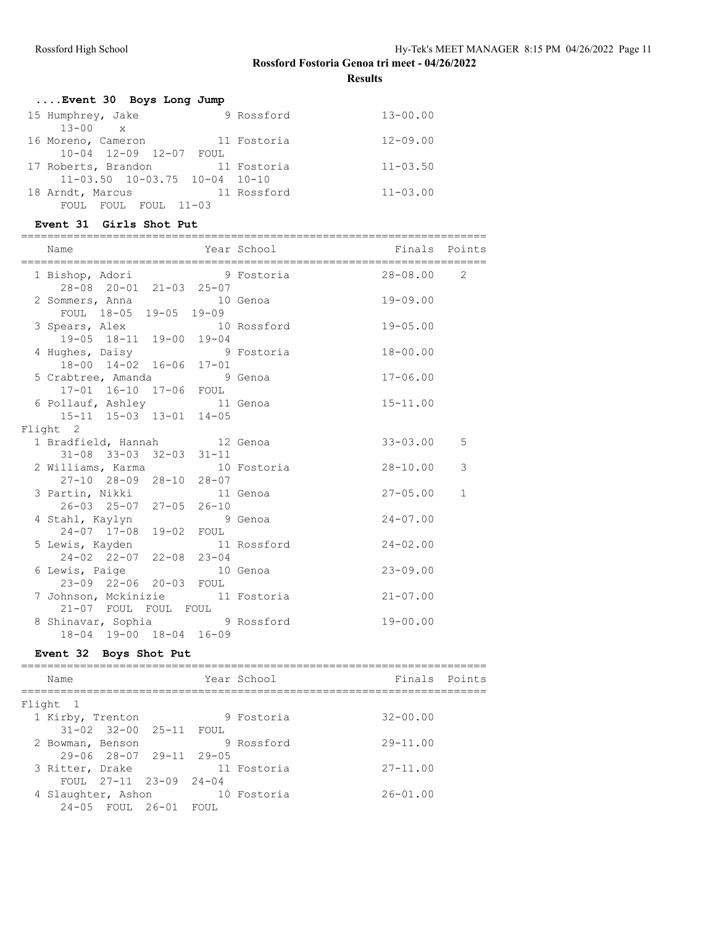**Results**

| Event 30 Boys Long Jump |  |  |  |  |  |
|-------------------------|--|--|--|--|--|
|-------------------------|--|--|--|--|--|

| 15 Humphrey, Jake                     | 9 Rossford  | $13 - 00.00$ |
|---------------------------------------|-------------|--------------|
| $13 - 00 \times$                      |             |              |
| 16 Moreno, Cameron                    | 11 Fostoria | $12 - 09.00$ |
| 10-04 12-09 12-07 FOUL                |             |              |
| 17 Roberts, Brandon                   | 11 Fostoria | $11 - 03.50$ |
| $11-03.50$ $10-03.75$ $10-04$ $10-10$ |             |              |
| 18 Arndt, Marcus                      | 11 Rossford | $11 - 03.00$ |
| FOUL FOUL 11-03<br>FOUL.              |             |              |

#### **Event 31 Girls Shot Put**

| Name                                                            |  |                |              |
|-----------------------------------------------------------------|--|----------------|--------------|
| 1 Bishop, Adori 9 Fostoria<br>28-08 20-01 21-03 25-07           |  | $28 - 08.00$ 2 |              |
| 2 Sommers, Anna 10 Genoa<br>FOUL 18-05 19-05 19-09              |  | $19 - 09.00$   |              |
| 3 Spears, Alex 10 Rossford<br>19-05 18-11 19-00 19-04           |  | $19 - 05.00$   |              |
| 4 Hughes, Daisy 9 Fostoria<br>18-00 14-02 16-06 17-01           |  | $18 - 00.00$   |              |
| 5 Crabtree, Amanda 9 Genoa<br>17-01 16-10 17-06 FOUL            |  | $17 - 06.00$   |              |
| 6 Pollauf, Ashley 11 Genoa<br>15-11 15-03 13-01 14-05           |  | $15 - 11.00$   |              |
| Flight 2                                                        |  |                |              |
| 1 Bradfield, Hannah 12 Genoa<br>$31-08$ $33-03$ $32-03$ $31-11$ |  | $33 - 03.00$   | 5            |
| 2 Williams, Karma 10 Fostoria<br>27-10 28-09 28-10 28-07        |  | 28-10.00       | 3            |
| 3 Partin, Nikki 11 Genoa<br>26-03 25-07 27-05 26-10             |  | $27 - 05.00$   | $\mathbf{1}$ |
| 4 Stahl, Kaylyn 9 Genoa<br>24-07 17-08 19-02 FOUL               |  | $24 - 07.00$   |              |
| 5 Lewis, Kayden 11 Rossford<br>24-02 22-07 22-08 23-04          |  | $24 - 02.00$   |              |
| 6 Lewis, Paige 10 Genoa<br>23-09 22-06 20-03 FOUL               |  | $23 - 09.00$   |              |
| 7 Johnson, Mckinizie 11 Fostoria<br>21-07 FOUL FOUL FOUL        |  | $21 - 07.00$   |              |
| 8 Shinavar, Sophia 9 Rossford<br>18-04 19-00 18-04 16-09        |  | $19 - 00.00$   |              |

# **Event 32 Boys Shot Put**

| Name                                    |  | Year School | Finals Points |  |
|-----------------------------------------|--|-------------|---------------|--|
|                                         |  |             |               |  |
| Flight 1                                |  |             |               |  |
| 1 Kirby, Trenton                        |  | 9 Fostoria  | $32 - 00.00$  |  |
| 31-02 32-00 25-11 FOUL                  |  |             |               |  |
| 2 Bowman, Benson                        |  | 9 Rossford  | $29 - 11.00$  |  |
| $29 - 06$ $28 - 07$ $29 - 11$ $29 - 05$ |  |             |               |  |
| 3 Ritter, Drake                         |  | 11 Fostoria | $27 - 11.00$  |  |
| FOUL $27-11$ $23-09$ $24-04$            |  |             |               |  |
| 4 Slaughter, Ashon                      |  | 10 Fostoria | $26 - 01.00$  |  |
| 24-05 FOUL 26-01 FOUL                   |  |             |               |  |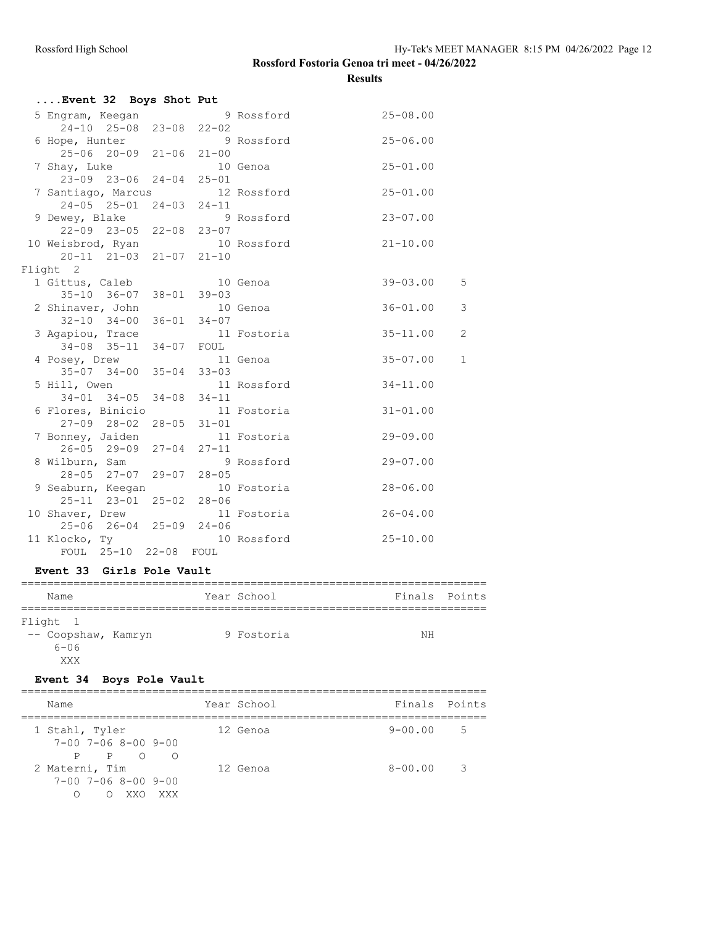## **Rossford Fostoria Genoa tri meet - 04/26/2022 Results**

| Event 32 Boys Shot Put                     |      |             |                                |
|--------------------------------------------|------|-------------|--------------------------------|
| 5 Engram, Keegan                           |      | 9 Rossford  | $25 - 08.00$                   |
| 24-10 25-08 23-08 22-02                    |      |             |                                |
| 6 Hope, Hunter                             |      | 9 Rossford  | $25 - 06.00$                   |
| $25-06$ 20-09 21-06 21-00                  |      |             |                                |
| 7 Shay, Luke                               |      | 10 Genoa    | $25 - 01.00$                   |
| $23-09$ 23-06 24-04 25-01                  |      |             |                                |
| 7 Santiago, Marcus 12 Rossford             |      |             | $25 - 01.00$                   |
| 24-05 25-01 24-03 24-11                    |      |             |                                |
| 9 Dewey, Blake 9 Rossford                  |      |             | $23 - 07.00$                   |
| 22-09 23-05 22-08 23-07                    |      |             |                                |
| 10 Weisbrod, Ryan                          |      | 10 Rossford | $21 - 10.00$                   |
| 20-11 21-03 21-07 21-10                    |      |             |                                |
| Flight 2                                   |      | 10 Genoa    | $39 - 03.00$<br>5              |
| 1 Gittus, Caleb<br>35-10 36-07 38-01 39-03 |      |             |                                |
| 2 Shinaver, John                           |      | 10 Genoa    | $36 - 01.00$<br>3              |
| $32-10$ $34-00$ $36-01$ $34-07$            |      |             |                                |
| 3 Agapiou, Trace                           |      | 11 Fostoria | $\overline{c}$<br>$35 - 11.00$ |
| 34-08 35-11 34-07 FOUL                     |      |             |                                |
| 4 Posey, Drew                              |      | 11 Genoa    | $35 - 07.00$<br>$\mathbf 1$    |
| 35-07 34-00 35-04 33-03                    |      |             |                                |
| 5 Hill, Owen                               |      | 11 Rossford | $34 - 11.00$                   |
| $34-01$ $34-05$ $34-08$ $34-11$            |      |             |                                |
| 6 Flores, Binicio                          |      | 11 Fostoria | $31 - 01.00$                   |
| 27-09 28-02 28-05 31-01                    |      |             |                                |
| 7 Bonney, Jaiden                           |      | 11 Fostoria | $29 - 09.00$                   |
| 26-05 29-09 27-04 27-11                    |      |             |                                |
| 8 Wilburn, Sam                             |      | 9 Rossford  | $29 - 07.00$                   |
| 28-05 27-07 29-07 28-05                    |      |             |                                |
| 9 Seaburn, Keegan                          |      | 10 Fostoria | $28 - 06.00$                   |
| 25-11 23-01 25-02 28-06                    |      |             |                                |
| 10 Shaver, Drew                            |      | 11 Fostoria | $26 - 04.00$                   |
| $25-06$ $26-04$ $25-09$ $24-06$            |      |             |                                |
| 11 Klocko, Ty 10 Rossford                  |      |             | $25 - 10.00$                   |
| FOUL 25-10 22-08                           | FOUL |             |                                |

#### **Event 33 Girls Pole Vault**

| Name                                   |  | Year School | Finals Points |  |
|----------------------------------------|--|-------------|---------------|--|
|                                        |  |             |               |  |
| Flight 1                               |  |             |               |  |
| -- Coopshaw, Kamryn<br>$6 - 06$<br>XXX |  | 9 Fostoria  | NΗ            |  |

# **Event 34 Boys Pole Vault**

| Name                                                                         | Year School | Finals Points |                          |
|------------------------------------------------------------------------------|-------------|---------------|--------------------------|
| 1 Stahl, Tyler<br>$7 - 00$ $7 - 06$ $8 - 00$ $9 - 00$                        | 12 Genoa    | $9 - 00.00$   | $5^{\circ}$              |
| P P O<br>$\bigcirc$<br>2 Materni, Tim<br>$7 - 00$ $7 - 06$ $8 - 00$ $9 - 00$ | 12 Genoa    | $8 - 00.00$   | $\overline{\phantom{a}}$ |
| XX O<br>XXX                                                                  |             |               |                          |